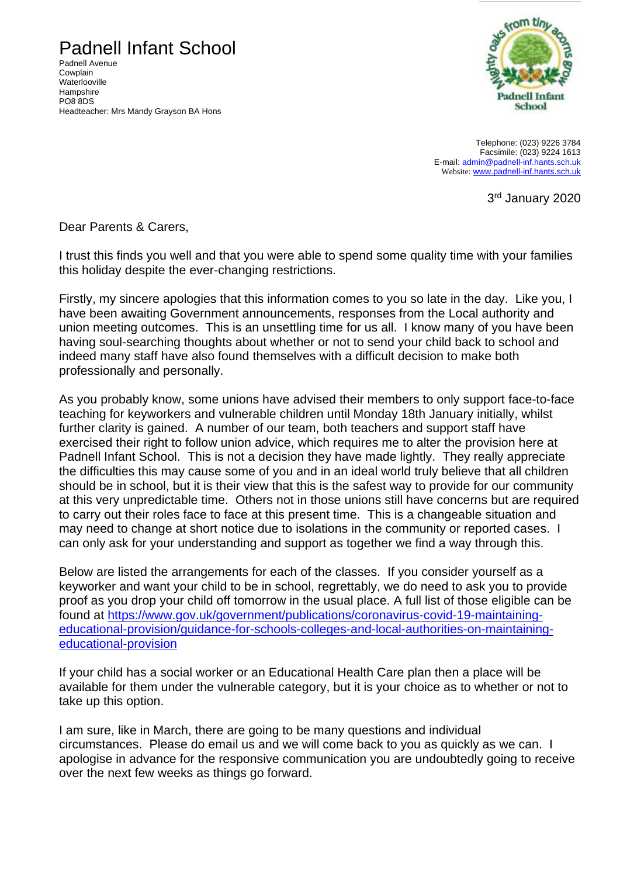Padnell Infant School

Padnell Avenue Cowplain **Waterlooville Hampshire** PO8 8DS Headteacher: Mrs Mandy Grayson BA Hons



Telephone: (023) 9226 3784 Facsimile: (023) 9224 1613 E-mail: [admin@padnell-inf.hants.sch.uk](mailto:admin@padnell-inf.hants.sch.uk) Website: [www.padnell-inf.hants.sch.uk](http://www.padnell-inf.hants.sch.uk/)

3rd January 2020

Dear Parents & Carers,

I trust this finds you well and that you were able to spend some quality time with your families this holiday despite the ever-changing restrictions.

Firstly, my sincere apologies that this information comes to you so late in the day. Like you, I have been awaiting Government announcements, responses from the Local authority and union meeting outcomes. This is an unsettling time for us all. I know many of you have been having soul-searching thoughts about whether or not to send your child back to school and indeed many staff have also found themselves with a difficult decision to make both professionally and personally.

As you probably know, some unions have advised their members to only support face-to-face teaching for keyworkers and vulnerable children until Monday 18th January initially, whilst further clarity is gained. A number of our team, both teachers and support staff have exercised their right to follow union advice, which requires me to alter the provision here at Padnell Infant School. This is not a decision they have made lightly. They really appreciate the difficulties this may cause some of you and in an ideal world truly believe that all children should be in school, but it is their view that this is the safest way to provide for our community at this very unpredictable time. Others not in those unions still have concerns but are required to carry out their roles face to face at this present time. This is a changeable situation and may need to change at short notice due to isolations in the community or reported cases. I can only ask for your understanding and support as together we find a way through this.

Below are listed the arrangements for each of the classes. If you consider yourself as a keyworker and want your child to be in school, regrettably, we do need to ask you to provide proof as you drop your child off tomorrow in the usual place. A full list of those eligible can be found at [https://www.gov.uk/government/publications/coronavirus-covid-19-maintaining](https://www.gov.uk/government/publications/coronavirus-covid-19-maintaining-educational-provision/guidance-for-schools-colleges-and-local-authorities-on-maintaining-educational-provision)[educational-provision/guidance-for-schools-colleges-and-local-authorities-on-maintaining](https://www.gov.uk/government/publications/coronavirus-covid-19-maintaining-educational-provision/guidance-for-schools-colleges-and-local-authorities-on-maintaining-educational-provision)[educational-provision](https://www.gov.uk/government/publications/coronavirus-covid-19-maintaining-educational-provision/guidance-for-schools-colleges-and-local-authorities-on-maintaining-educational-provision)

If your child has a social worker or an Educational Health Care plan then a place will be available for them under the vulnerable category, but it is your choice as to whether or not to take up this option.

I am sure, like in March, there are going to be many questions and individual circumstances. Please do email us and we will come back to you as quickly as we can. I apologise in advance for the responsive communication you are undoubtedly going to receive over the next few weeks as things go forward.